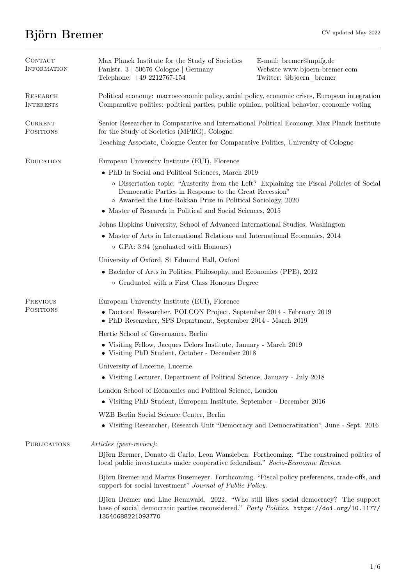# $\lim\limits_{\mathrm{CV} \text{ updated May }2022}$

| CONTACT<br><b>INFORMATION</b>      | Max Planck Institute for the Study of Societies<br>Paulstr. 3   50676 Cologne   Germany<br>Telephone: +49 2212767-154                                                                                              | E-mail: bremer@mpifg.de<br>Website www.bjoern-bremer.com<br>Twitter: @bjoern bremer |  |
|------------------------------------|--------------------------------------------------------------------------------------------------------------------------------------------------------------------------------------------------------------------|-------------------------------------------------------------------------------------|--|
| RESEARCH<br><b>INTERESTS</b>       | Political economy: macroeconomic policy, social policy, economic crises, European integration<br>Comparative politics: political parties, public opinion, political behavior, economic voting                      |                                                                                     |  |
| <b>CURRENT</b><br><b>POSITIONS</b> | Senior Researcher in Comparative and International Political Economy, Max Planck Institute<br>for the Study of Societies (MPIfG), Cologne                                                                          |                                                                                     |  |
|                                    | Teaching Associate, Cologne Center for Comparative Politics, University of Cologne                                                                                                                                 |                                                                                     |  |
| <b>EDUCATION</b>                   | European University Institute (EUI), Florence                                                                                                                                                                      |                                                                                     |  |
|                                    | • PhD in Social and Political Sciences, March 2019                                                                                                                                                                 |                                                                                     |  |
|                                    | o Dissertation topic: "Austerity from the Left? Explaining the Fiscal Policies of Social<br>Democratic Parties in Response to the Great Recession"<br>o Awarded the Linz-Rokkan Prize in Political Sociology, 2020 |                                                                                     |  |
|                                    | • Master of Research in Political and Social Sciences, 2015                                                                                                                                                        |                                                                                     |  |
|                                    | Johns Hopkins University, School of Advanced International Studies, Washington                                                                                                                                     |                                                                                     |  |
|                                    | • Master of Arts in International Relations and International Economics, 2014                                                                                                                                      |                                                                                     |  |
|                                    | $\circ$ GPA: 3.94 (graduated with Honours)                                                                                                                                                                         |                                                                                     |  |
|                                    | University of Oxford, St Edmund Hall, Oxford                                                                                                                                                                       |                                                                                     |  |
|                                    | • Bachelor of Arts in Politics, Philosophy, and Economics (PPE), 2012                                                                                                                                              |                                                                                     |  |
|                                    | o Graduated with a First Class Honours Degree                                                                                                                                                                      |                                                                                     |  |
| <b>PREVIOUS</b>                    | European University Institute (EUI), Florence                                                                                                                                                                      |                                                                                     |  |
| <b>POSITIONS</b>                   | • Doctoral Researcher, POLCON Project, September 2014 - February 2019<br>• PhD Researcher, SPS Department, September 2014 - March 2019                                                                             |                                                                                     |  |
|                                    | Hertie School of Governance, Berlin                                                                                                                                                                                |                                                                                     |  |
|                                    | • Visiting Fellow, Jacques Delors Institute, January - March 2019<br>• Visiting PhD Student, October - December 2018                                                                                               |                                                                                     |  |
|                                    | University of Lucerne, Lucerne                                                                                                                                                                                     |                                                                                     |  |
|                                    | • Visiting Lecturer, Department of Political Science, January - July 2018                                                                                                                                          |                                                                                     |  |
|                                    | London School of Economics and Political Science, London                                                                                                                                                           |                                                                                     |  |
|                                    | • Visiting PhD Student, European Institute, September - December 2016                                                                                                                                              |                                                                                     |  |
|                                    | WZB Berlin Social Science Center, Berlin                                                                                                                                                                           |                                                                                     |  |
|                                    | • Visiting Researcher, Research Unit "Democracy and Democratization", June - Sept. 2016                                                                                                                            |                                                                                     |  |
| <b>PUBLICATIONS</b>                | Articles (peer-review):                                                                                                                                                                                            |                                                                                     |  |
|                                    | Björn Bremer, Donato di Carlo, Leon Wansleben. Forthcoming. "The constrained politics of<br>local public investments under cooperative federalism." Socio-Economic Review.                                         |                                                                                     |  |
|                                    | Björn Bremer and Marius Busemeyer. Forthcoming. "Fiscal policy preferences, trade-offs, and<br>support for social investment" <i>Journal of Public Policy</i> .                                                    |                                                                                     |  |
|                                    | Björn Bremer and Line Rennwald. 2022. "Who still likes social democracy? The support<br>base of social democratic parties reconsidered." Party Politics. https://doi.org/10.1177/<br>13540688221093770             |                                                                                     |  |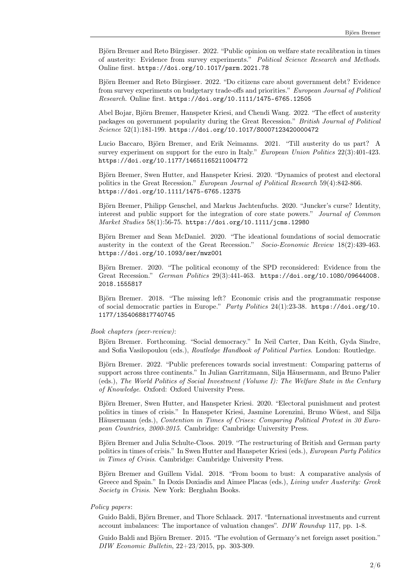Björn Bremer and Reto Bürgisser. 2022. "Public opinion on welfare state recalibration in times of austerity: Evidence from survey experiments.'' Political Science Research and Methods. Online first. <https://doi.org/10.1017/psrm.2021.78>

Björn Bremer and Reto Bürgisser. 2022. "Do citizens care about government debt? Evidence from survey experiments on budgetary trade-offs and priorities.'' European Journal of Political Research. Online first. <https://doi.org/10.1111/1475-6765.12505>

Abel Bojar, Björn Bremer, Hanspeter Kriesi, and Chendi Wang. 2022. "The effect of austerity packages on government popularity during the Great Recession.'' British Journal of Political Science 52(1):181-199. <https://doi.org/10.1017/S0007123420000472>

Lucio Baccaro, Björn Bremer, and Erik Neimanns. 2021. "Till austerity do us part? A survey experiment on support for the euro in Italy." European Union Politics 22(3):401-423. <https://doi.org/10.1177/14651165211004772>

Björn Bremer, Swen Hutter, and Hanspeter Kriesi. 2020. "Dynamics of protest and electoral politics in the Great Recession.'' European Journal of Political Research 59(4):842-866. <https://doi.org/10.1111/1475-6765.12375>

Björn Bremer, Philipp Genschel, and Markus Jachtenfuchs. 2020. "Juncker's curse? Identity, interest and public support for the integration of core state powers.'' Journal of Common Market Studies 58(1):56-75. <https://doi.org/10.1111/jcms.12980>

Björn Bremer and Sean McDaniel. 2020. "The ideational foundations of social democratic austerity in the context of the Great Recession.'' Socio-Economic Review 18(2):439-463. <https://doi.org/10.1093/ser/mwz001>

Björn Bremer. 2020. "The political economy of the SPD reconsidered: Evidence from the Great Recession.'' German Politics 29(3):441-463. [https://doi.org/10.1080/09644008.](https://doi.org/10.1080/09644008.2018.1555817) [2018.1555817](https://doi.org/10.1080/09644008.2018.1555817)

Björn Bremer. 2018. "The missing left? Economic crisis and the programmatic response of social democratic parties in Europe.'' Party Politics 24(1):23-38. [https://doi.org/10.](https://doi.org/10.1177/1354068817740745) [1177/1354068817740745](https://doi.org/10.1177/1354068817740745)

### Book chapters (peer-review):

Björn Bremer. Forthcoming. "Social democracy." In Neil Carter, Dan Keith, Gyda Sindre, and Sofia Vasilopoulou (eds.), Routledge Handbook of Political Parties. London: Routledge.

Björn Bremer. 2022. "Public preferences towards social investment: Comparing patterns of support across three continents." In Julian Garritzmann, Silja Häusermann, and Bruno Palier (eds.), The World Politics of Social Investment (Volume I): The Welfare State in the Century of Knowledge. Oxford: Oxford University Press.

Björn Bremer, Swen Hutter, and Hanspeter Kriesi. 2020. "Electoral punishment and protest politics in times of crisis." In Hanspeter Kriesi, Jasmine Lorenzini, Bruno Wüest, and Silja Häusermann (eds.), Contention in Times of Crises: Comparing Political Protest in 30 European Countries, 2000-2015. Cambridge: Cambridge University Press.

Björn Bremer and Julia Schulte-Cloos. 2019. "The restructuring of British and German party politics in times of crisis.'' In Swen Hutter and Hanspeter Kriesi (eds.), European Party Politics in Times of Crisis. Cambridge: Cambridge University Press.

Björn Bremer and Guillem Vidal. 2018. "From boom to bust: A comparative analysis of Greece and Spain.'' In Doxis Doxiadis and Aimee Placas (eds.), Living under Austerity: Greek Society in Crisis. New York: Berghahn Books.

## Policy papers:

Guido Baldi, Björn Bremer, and Thore Schlaack. 2017. "International investments and current account imbalances: The importance of valuation changes''. DIW Roundup 117, pp. 1-8.

Guido Baldi and Björn Bremer. 2015. "The evolution of Germany's net foreign asset position." DIW Economic Bulletin, 22+23/2015, pp. 303-309.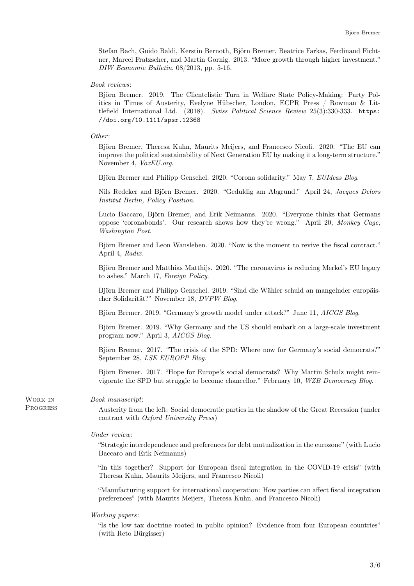Stefan Bach, Guido Baldi, Kerstin Bernoth, Björn Bremer, Beatrice Farkas, Ferdinand Fichtner, Marcel Fratzscher, and Martin Gornig. 2013. ``More growth through higher investment.'' DIW Economic Bulletin, 08/2013, pp. 5-16.

### Book reviews:

Björn Bremer. 2019. The Clientelistic Turn in Welfare State Policy-Making: Party Politics in Times of Austerity, Evelyne Hübscher, London, ECPR Press / Rowman  $\&$  Littlefield International Ltd. (2018). Swiss Political Science Review 25(3):330-333. [https:](https://doi.org/10.1111/spsr.12368) [//doi.org/10.1111/spsr.12368](https://doi.org/10.1111/spsr.12368)

# Other:

Björn Bremer, Theresa Kuhn, Maurits Meijers, and Francesco Nicoli. 2020. "The EU can improve the political sustainability of Next Generation EU by making it a long-term structure.'' November 4, VoxEU.org.

Björn Bremer and Philipp Genschel. 2020. "Corona solidarity." May 7, EUIdeas Blog.

Nils Redeker and Björn Bremer. 2020. "Geduldig am Abgrund." April 24, Jacques Delors Institut Berlin, Policy Position.

Lucio Baccaro, Björn Bremer, and Erik Neimanns. 2020. "Everyone thinks that Germans oppose `coronabonds'. Our research shows how they're wrong.'' April 20, Monkey Cage, Washington Post.

Björn Bremer and Leon Wansleben. 2020. "Now is the moment to revive the fiscal contract." April 4, Radix.

Björn Bremer and Matthias Matthijs. 2020. "The coronavirus is reducing Merkel's EU legacy to ashes.'' March 17, Foreign Policy.

Björn Bremer and Philipp Genschel. 2019. "Sind die Wähler schuld an mangelnder europäischer Solidarität?" November 18, DVPW Blog.

Björn Bremer. 2019. "Germany's growth model under attack?" June 11, AICGS Blog.

Björn Bremer. 2019. "Why Germany and the US should embark on a large-scale investment program now.'' April 3, AICGS Blog.

Björn Bremer. 2017. "The crisis of the SPD: Where now for Germany's social democrats?" September 28, LSE EUROPP Blog.

Björn Bremer. 2017. "Hope for Europe's social democrats? Why Martin Schulz might reinvigorate the SPD but struggle to become chancellor.'' February 10, WZB Democracy Blog.

Book manuscript:

Work in **PROGRESS** 

Austerity from the left: Social democratic parties in the shadow of the Great Recession (under contract with Oxford University Press)

#### Under review:

``Strategic interdependence and preferences for debt mutualization in the eurozone'' (with Lucio Baccaro and Erik Neimanns)

"In this together? Support for European fiscal integration in the COVID-19 crisis" (with Theresa Kuhn, Maurits Meijers, and Francesco Nicoli)

``Manufacturing support for international cooperation: How parties can affect fiscal integration preferences'' (with Maurits Meijers, Theresa Kuhn, and Francesco Nicoli)

#### Working papers:

``Is the low tax doctrine rooted in public opinion? Evidence from four European countries'' (with Reto Bürgisser)

3/6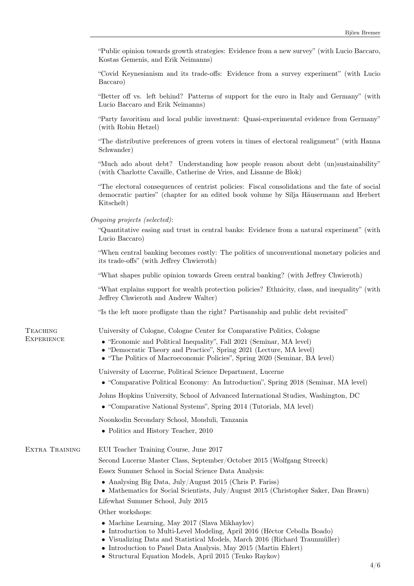| "Public opinion towards growth strategies: Evidence from a new survey" (with Lucio Baccaro, |  |  |
|---------------------------------------------------------------------------------------------|--|--|
| Kostas Gemenis, and Erik Neimanns)                                                          |  |  |

``Covid Keynesianism and its trade-offs: Evidence from a survey experiment'' (with Lucio Baccaro)

``Better off vs. left behind? Patterns of support for the euro in Italy and Germany'' (with Lucio Baccaro and Erik Neimanns)

``Party favoritism and local public investment: Quasi-experimental evidence from Germany'' (with Robin Hetzel)

``The distributive preferences of green voters in times of electoral realignment'' (with Hanna Schwander)

``Much ado about debt? Understanding how people reason about debt (un)sustainability'' (with Charlotte Cavaille, Catherine de Vries, and Lisanne de Blok)

``The electoral consequences of centrist policies: Fiscal consolidations and the fate of social democratic parties'' (chapter for an edited book volume by Silja H\"ausermann and Herbert Kitschelt)

Ongoing projects (selected):

``Quantitative easing and trust in central banks: Evidence from a natural experiment'' (with Lucio Baccaro)

``When central banking becomes costly: The politics of unconventional monetary policies and its trade-offs'' (with Jeffrey Chwieroth)

``What shapes public opinion towards Green central banking? (with Jeffrey Chwieroth)

``What explains support for wealth protection policies? Ethnicity, class, and inequality'' (with Jeffrey Chwieroth and Andrew Walter)

``Is the left more profligate than the right? Partisanship and public debt revisited''

**TEACHING EXPERIENCE**  University of Cologne, Cologne Center for Comparative Politics, Cologne

- $\bullet$  "Economic and Political Inequality", Fall 2021 (Seminar, MA level)
- $\bullet$  "Democratic Theory and Practice", Spring 2021 (Lecture, MA level)
- "The Politics of Macroeconomic Policies", Spring 2020 (Seminar, BA level)

University of Lucerne, Political Science Department, Lucerne

 $\bullet$  "Comparative Political Economy: An Introduction", Spring 2018 (Seminar, MA level)

Johns Hopkins University, School of Advanced International Studies, Washington, DC

 $\bullet$  "Comparative National Systems", Spring 2014 (Tutorials, MA level)

Noonkodin Secondary School, Monduli, Tanzania

• Politics and History Teacher, 2010

Extra Training EUI Teacher Training Course, June 2017

Second Lucerne Master Class, September/October 2015 (Wolfgang Streeck)

Essex Summer School in Social Science Data Analysis:

- $\bullet$  Analysing Big Data, July/August 2015 (Chris P. Fariss)
- $\bullet$  Mathematics for Social Scientists, July/August 2015 (Christopher Saker, Dan Brawn)

Lifewhat Summer School, July 2015

Other workshops:

- $\bullet$  Machine Learning, May 2017 (Slava Mikhaylov)
- $\bullet$  Introduction to Multi-Level Modeling, April 2016 (Héctor Cebolla Boado)
- Visualizing Data and Statistical Models, March 2016 (Richard Traunmüller)
- Introduction to Panel Data Analysis, May 2015 (Martin Ehlert)
- Structural Equation Models, April 2015 (Tenko Raykov)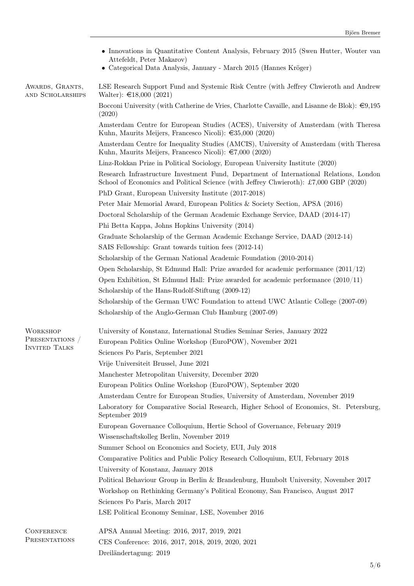|                                         | • Innovations in Quantitative Content Analysis, February 2015 (Swen Hutter, Wouter van<br>Attefeldt, Peter Makarov)                                                             |
|-----------------------------------------|---------------------------------------------------------------------------------------------------------------------------------------------------------------------------------|
|                                         | • Categorical Data Analysis, January - March 2015 (Hannes Kröger)                                                                                                               |
| AWARDS, GRANTS,<br>AND SCHOLARSHIPS     | LSE Research Support Fund and Systemic Risk Centre (with Jeffrey Chwieroth and Andrew<br>Walter): $\text{£}18,000$ (2021)                                                       |
|                                         | Bocconi University (with Catherine de Vries, Charlotte Cavaille, and Lisanne de Blok): $\in 9,195$<br>(2020)                                                                    |
|                                         | Amsterdam Centre for European Studies (ACES), University of Amsterdam (with Theresa<br>Kuhn, Maurits Meijers, Francesco Nicoli): $\epsilon$ 35,000 (2020)                       |
|                                         | Amsterdam Centre for Inequality Studies (AMCIS), University of Amsterdam (with Theresa<br>Kuhn, Maurits Meijers, Francesco Nicoli): $\epsilon$ 7,000 (2020)                     |
|                                         | Linz-Rokkan Prize in Political Sociology, European University Institute (2020)                                                                                                  |
|                                         | Research Infrastructure Investment Fund, Department of International Relations, London<br>School of Economics and Political Science (with Jeffrey Chwieroth): £7,000 GBP (2020) |
|                                         | PhD Grant, European University Institute (2017-2018)                                                                                                                            |
|                                         | Peter Mair Memorial Award, European Politics & Society Section, APSA (2016)                                                                                                     |
|                                         | Doctoral Scholarship of the German Academic Exchange Service, DAAD (2014-17)                                                                                                    |
|                                         | Phi Betta Kappa, Johns Hopkins University (2014)                                                                                                                                |
|                                         | Graduate Scholarship of the German Academic Exchange Service, DAAD (2012-14)                                                                                                    |
|                                         | SAIS Fellowship: Grant towards tuition fees (2012-14)                                                                                                                           |
|                                         | Scholarship of the German National Academic Foundation (2010-2014)                                                                                                              |
|                                         | Open Scholarship, St Edmund Hall: Prize awarded for academic performance $(2011/12)$                                                                                            |
|                                         | Open Exhibition, St Edmund Hall: Prize awarded for academic performance $(2010/11)$                                                                                             |
|                                         | Scholarship of the Hans-Rudolf-Stiftung (2009-12)                                                                                                                               |
|                                         | Scholarship of the German UWC Foundation to attend UWC Atlantic College (2007-09)                                                                                               |
|                                         | Scholarship of the Anglo-German Club Hamburg (2007-09)                                                                                                                          |
| <b>WORKSHOP</b>                         | University of Konstanz, International Studies Seminar Series, January 2022                                                                                                      |
| PRESENTATIONS /<br><b>INVITED TALKS</b> | European Politics Online Workshop (EuroPOW), November 2021                                                                                                                      |
|                                         | Sciences Po Paris, September 2021                                                                                                                                               |
|                                         | Vrije Universiteit Brussel, June 2021                                                                                                                                           |
|                                         | Manchester Metropolitan University, December 2020                                                                                                                               |
|                                         | European Politics Online Workshop (EuroPOW), September 2020                                                                                                                     |
|                                         | Amsterdam Centre for European Studies, University of Amsterdam, November 2019                                                                                                   |
|                                         | Laboratory for Comparative Social Research, Higher School of Economics, St. Petersburg,<br>September 2019                                                                       |
|                                         | European Governance Colloquium, Hertie School of Governance, February 2019                                                                                                      |
|                                         | Wissenschaftskolleg Berlin, November 2019                                                                                                                                       |
|                                         | Summer School on Economics and Society, EUI, July 2018                                                                                                                          |
|                                         | Comparative Politics and Public Policy Research Colloquium, EUI, February 2018                                                                                                  |
|                                         | University of Konstanz, January 2018                                                                                                                                            |
|                                         | Political Behaviour Group in Berlin & Brandenburg, Humbolt University, November 2017                                                                                            |
|                                         | Workshop on Rethinking Germany's Political Economy, San Francisco, August 2017                                                                                                  |
|                                         | Sciences Po Paris, March 2017                                                                                                                                                   |
|                                         | LSE Political Economy Seminar, LSE, November 2016                                                                                                                               |
| CONFERENCE                              | APSA Annual Meeting: 2016, 2017, 2019, 2021                                                                                                                                     |
| PRESENTATIONS                           | CES Conference: 2016, 2017, 2018, 2019, 2020, 2021                                                                                                                              |

Dreiländertagung: 2019